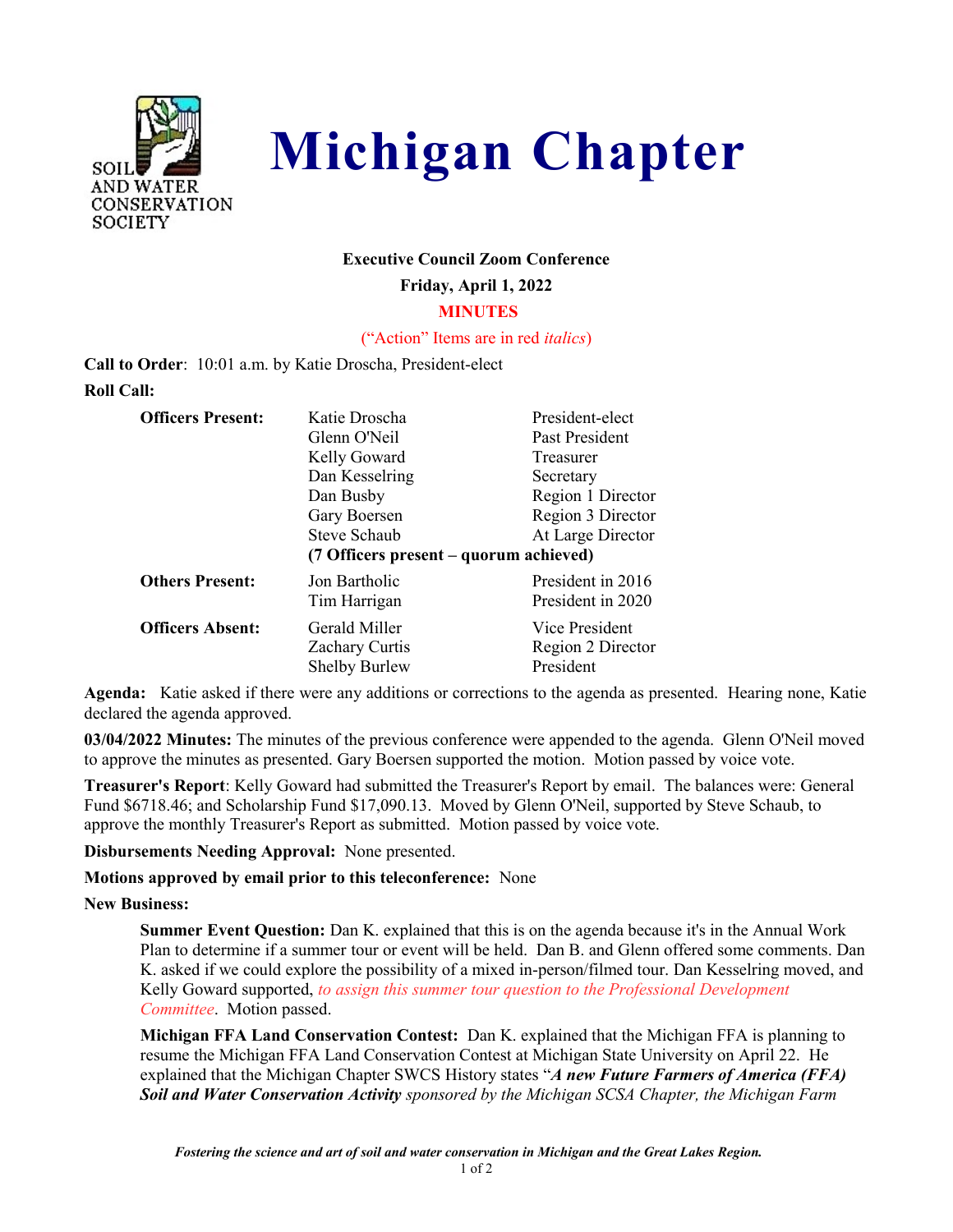



### **Executive Council Zoom Conference**

**Friday, April 1, 2022**

 **MINUTES**

("Action" Items are in red *italics*)

**Call to Order**: 10:01 a.m. by Katie Droscha, President-elect **Roll Call:**

| <b>Officers Present:</b> | Katie Droscha                          | President-elect   |
|--------------------------|----------------------------------------|-------------------|
|                          | Glenn O'Neil                           | Past President    |
|                          | Kelly Goward                           | Treasurer         |
|                          | Dan Kesselring                         | Secretary         |
|                          | Dan Busby                              | Region 1 Director |
|                          | Gary Boersen                           | Region 3 Director |
|                          | Steve Schaub                           | At Large Director |
|                          |                                        |                   |
|                          | (7 Officers present – quorum achieved) |                   |
| <b>Others Present:</b>   | Jon Bartholic                          | President in 2016 |
|                          | Tim Harrigan                           | President in 2020 |
| <b>Officers Absent:</b>  | Gerald Miller                          | Vice President    |
|                          | <b>Zachary Curtis</b>                  | Region 2 Director |

**Agenda:** Katie asked if there were any additions or corrections to the agenda as presented. Hearing none, Katie declared the agenda approved.

**03/04/2022 Minutes:** The minutes of the previous conference were appended to the agenda. Glenn O'Neil moved to approve the minutes as presented. Gary Boersen supported the motion. Motion passed by voice vote.

**Treasurer's Report**: Kelly Goward had submitted the Treasurer's Report by email. The balances were: General Fund \$6718.46; and Scholarship Fund \$17,090.13. Moved by Glenn O'Neil, supported by Steve Schaub, to approve the monthly Treasurer's Report as submitted. Motion passed by voice vote.

**Disbursements Needing Approval:** None presented.

**Motions approved by email prior to this teleconference:** None

**New Business:**

**Summer Event Question:** Dan K. explained that this is on the agenda because it's in the Annual Work Plan to determine if a summer tour or event will be held. Dan B. and Glenn offered some comments. Dan K. asked if we could explore the possibility of a mixed in-person/filmed tour. Dan Kesselring moved, and Kelly Goward supported, *to assign this summer tour question to the Professional Development Committee*. Motion passed.

**Michigan FFA Land Conservation Contest:** Dan K. explained that the Michigan FFA is planning to resume the Michigan FFA Land Conservation Contest at Michigan State University on April 22. He explained that the Michigan Chapter SWCS History states "*A new Future Farmers of America (FFA) Soil and Water Conservation Activity sponsored by the Michigan SCSA Chapter, the Michigan Farm* 

1 of 2